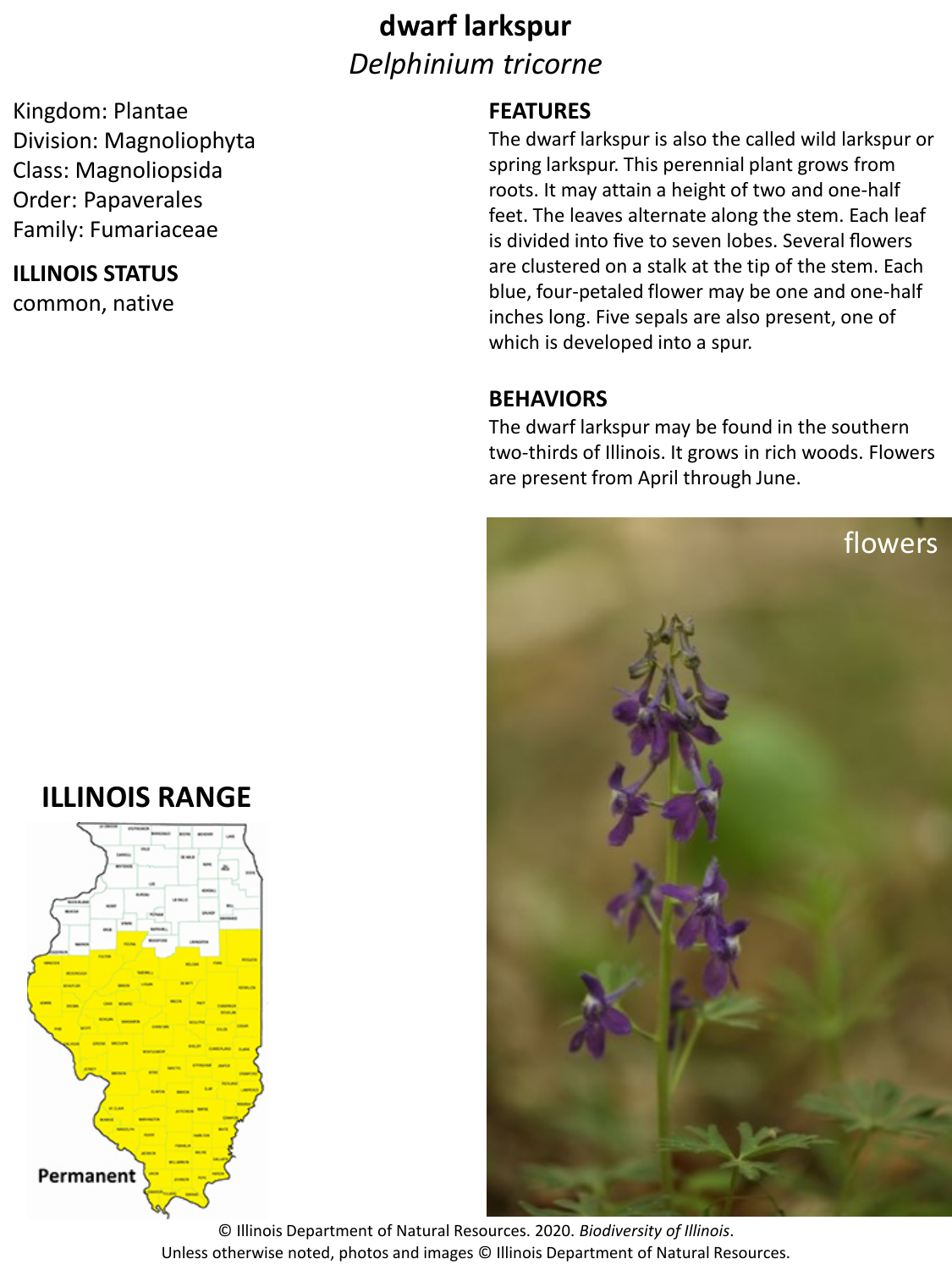# **dwarf larkspur** *Delphinium tricorne*

Kingdom: Plantae Division: Magnoliophyta Class: Magnoliopsida Order: Papaverales Family: Fumariaceae

### **ILLINOIS STATUS**

common, native

### **FEATURES**

The dwarf larkspur is also the called wild larkspur or spring larkspur. This perennial plant grows from roots. It may attain a height of two and one‐half feet. The leaves alternate along the stem. Each leaf is divided into five to seven lobes. Several flowers are clustered on a stalk at the tip of the stem. Each blue, four-petaled flower may be one and one-half inches long. Five sepals are also present, one of which is developed into a spur.

#### **BEHAVIORS**

The dwarf larkspur may be found in the southern two‐thirds of Illinois. It grows in rich woods. Flowers are present from April through June.



## **ILLINOIS RANGE**



© Illinois Department of Natural Resources. 2020. *Biodiversity of Illinois*. Unless otherwise noted, photos and images © Illinois Department of Natural Resources.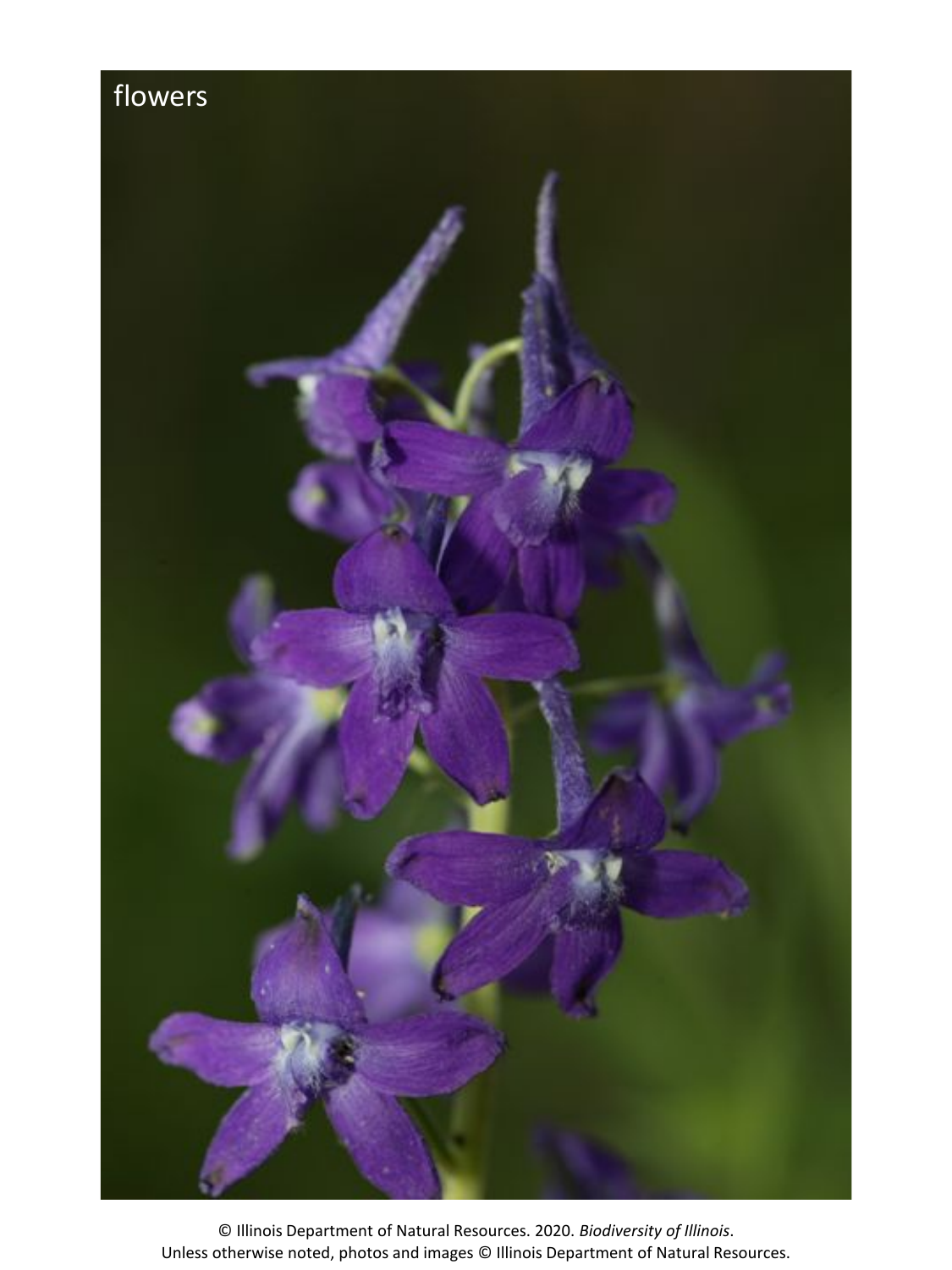

© Illinois Department of Natural Resources. 2020. *Biodiversity of Illinois*. Unless otherwise noted, photos and images © Illinois Department of Natural Resources.